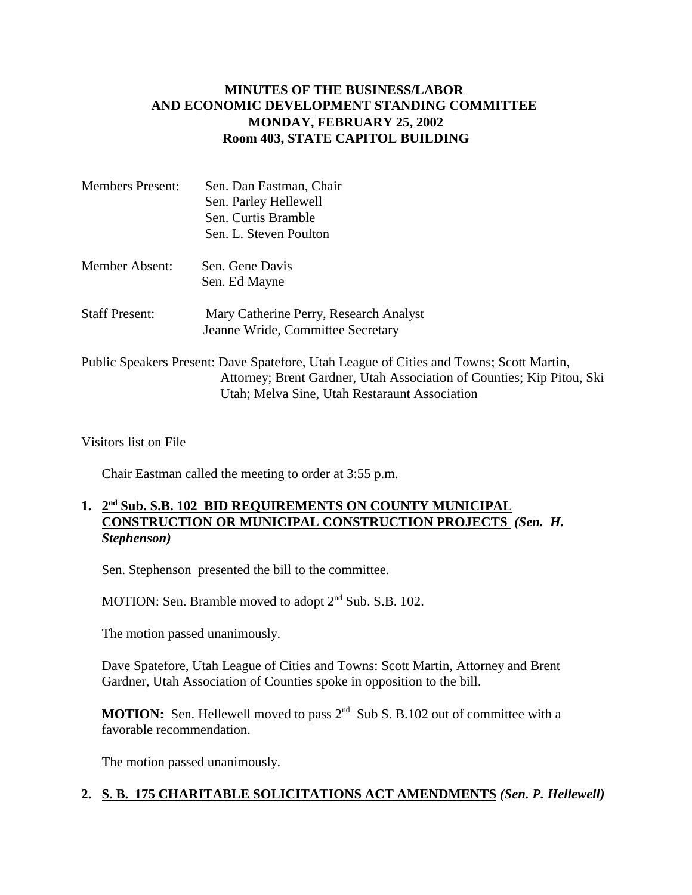# **MINUTES OF THE BUSINESS/LABOR AND ECONOMIC DEVELOPMENT STANDING COMMITTEE MONDAY, FEBRUARY 25, 2002 Room 403, STATE CAPITOL BUILDING**

| <b>Members Present:</b> | Sen. Dan Eastman, Chair                                                                 |
|-------------------------|-----------------------------------------------------------------------------------------|
|                         | Sen. Parley Hellewell                                                                   |
|                         | Sen. Curtis Bramble                                                                     |
|                         | Sen. L. Steven Poulton                                                                  |
| Member Absent:          | Sen. Gene Davis                                                                         |
|                         | Sen. Ed Mayne                                                                           |
| <b>Staff Present:</b>   | Mary Catherine Perry, Research Analyst                                                  |
|                         | Jeanne Wride, Committee Secretary                                                       |
|                         | Public Speakers Present: Dave Spatefore, Utah League of Cities and Towns; Scott Martin, |
|                         | Attorney; Brent Gardner, Utah Association of Counties; Kip Pitou, Ski                   |

Utah; Melva Sine, Utah Restaraunt Association

Visitors list on File

Chair Eastman called the meeting to order at 3:55 p.m.

# **1. 2nd Sub. S.B. 102 BID REQUIREMENTS ON COUNTY MUNICIPAL CONSTRUCTION OR MUNICIPAL CONSTRUCTION PROJECTS** *(Sen. H. Stephenson)*

Sen. Stephenson presented the bill to the committee.

MOTION: Sen. Bramble moved to adopt  $2<sup>nd</sup>$  Sub. S.B. 102.

The motion passed unanimously.

Dave Spatefore, Utah League of Cities and Towns: Scott Martin, Attorney and Brent Gardner, Utah Association of Counties spoke in opposition to the bill.

**MOTION:** Sen. Hellewell moved to pass  $2^{nd}$  Sub S. B.102 out of committee with a favorable recommendation.

The motion passed unanimously.

### **2. S. B. 175 CHARITABLE SOLICITATIONS ACT AMENDMENTS** *(Sen. P. Hellewell)*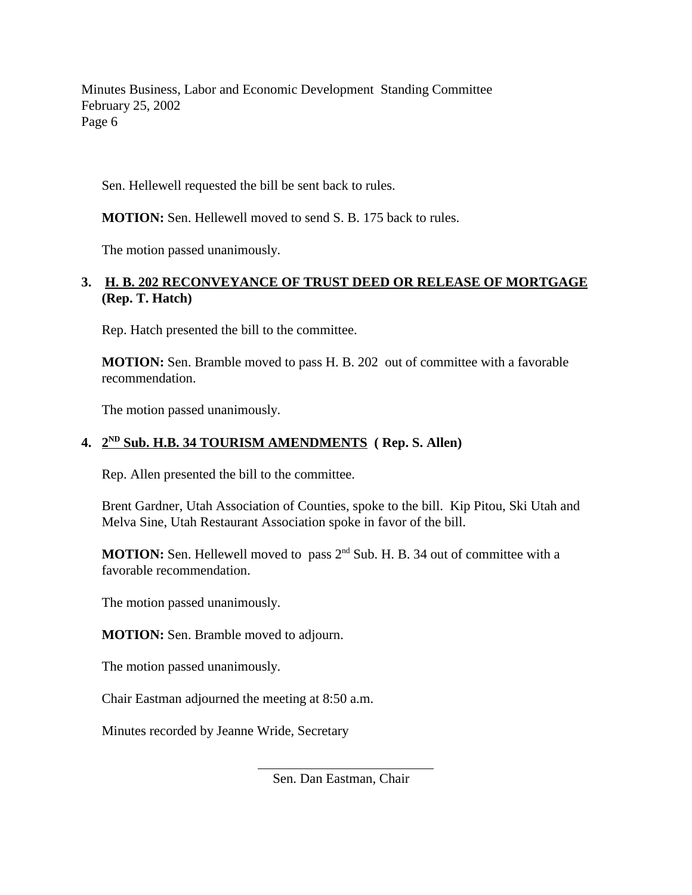Minutes Business, Labor and Economic Development Standing Committee February 25, 2002 Page 6

Sen. Hellewell requested the bill be sent back to rules.

**MOTION:** Sen. Hellewell moved to send S. B. 175 back to rules.

The motion passed unanimously.

# **3. H. B. 202 RECONVEYANCE OF TRUST DEED OR RELEASE OF MORTGAGE (Rep. T. Hatch)**

Rep. Hatch presented the bill to the committee.

**MOTION:** Sen. Bramble moved to pass H. B. 202 out of committee with a favorable recommendation.

The motion passed unanimously.

#### **4. 2ND Sub. H.B. 34 TOURISM AMENDMENTS ( Rep. S. Allen)**

Rep. Allen presented the bill to the committee.

Brent Gardner, Utah Association of Counties, spoke to the bill. Kip Pitou, Ski Utah and Melva Sine, Utah Restaurant Association spoke in favor of the bill.

**MOTION:** Sen. Hellewell moved to pass 2<sup>nd</sup> Sub. H. B. 34 out of committee with a favorable recommendation.

The motion passed unanimously.

**MOTION:** Sen. Bramble moved to adjourn.

The motion passed unanimously.

Chair Eastman adjourned the meeting at 8:50 a.m.

l

Minutes recorded by Jeanne Wride, Secretary

Sen. Dan Eastman, Chair